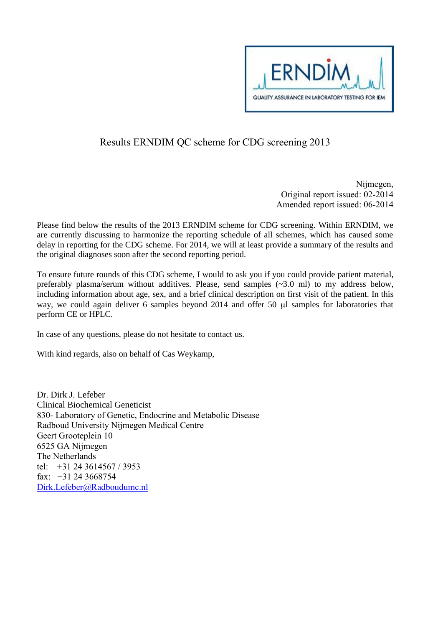

## Results ERNDIM QC scheme for CDG screening 2013

Nijmegen, Original report issued: 02-2014 Amended report issued: 06-2014

Please find below the results of the 2013 ERNDIM scheme for CDG screening. Within ERNDIM, we are currently discussing to harmonize the reporting schedule of all schemes, which has caused some delay in reporting for the CDG scheme. For 2014, we will at least provide a summary of the results and the original diagnoses soon after the second reporting period.

To ensure future rounds of this CDG scheme, I would to ask you if you could provide patient material, preferably plasma/serum without additives. Please, send samples (~3.0 ml) to my address below, including information about age, sex, and a brief clinical description on first visit of the patient. In this way, we could again deliver 6 samples beyond  $2014$  and offer 50  $\mu$ l samples for laboratories that perform CE or HPLC.

In case of any questions, please do not hesitate to contact us.

With kind regards, also on behalf of Cas Weykamp,

Dr. Dirk J. Lefeber Clinical Biochemical Geneticist 830- Laboratory of Genetic, Endocrine and Metabolic Disease Radboud University Nijmegen Medical Centre Geert Grooteplein 10 6525 GA Nijmegen The Netherlands tel: +31 24 3614567 / 3953 fax: +31 24 3668754 [Dirk.Lefeber@Radboudumc.nl](mailto:Dirk.Lefeber@Radboudumc.nl)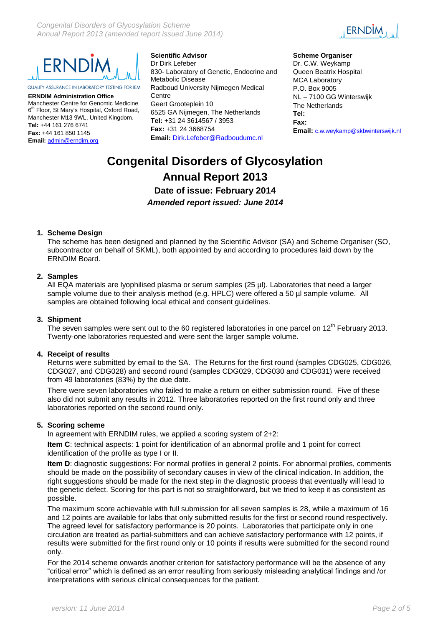



QUALITY ASSURANCE IN LABORATORY TESTING FOR IEM

**ERNDIM Administration Office** Manchester Centre for Genomic Medicine 6 th Floor, St Mary's Hospital, Oxford Road, Manchester M13 9WL, United Kingdom. **Tel:** +44 161 276 6741 **Fax:** +44 161 850 1145 **Email:** [admin@erndim.org](mailto:admin@erndim.org)

**Scientific Advisor** Dr Dirk Lefeber 830- Laboratory of Genetic, Endocrine and Metabolic Disease Radboud University Nijmegen Medical **Centre** Geert Grooteplein 10 6525 GA Nijmegen, The Netherlands **Tel:** +31 24 3614567 / 3953 **Fax:** +31 24 3668754 **Email:** [Dirk.Lefeber@Radboudumc.nl](mailto:Dirk.Lefeber@Radboudumc.nl)

#### **Scheme Organiser**

Dr. C.W. Weykamp Queen Beatrix Hospital MCA Laboratory P.O. Box 9005 NL – 7100 GG Winterswijk The Netherlands **Tel: Fax: Email:** [c.w.weykamp@skbwinterswijk.nl](mailto:c.w.weykamp@skbwinterswijk.nl)

# **Congenital Disorders of Glycosylation Annual Report 2013 Date of issue: February 2014** *Amended report issued: June 2014*

## **1. Scheme Design**

The scheme has been designed and planned by the Scientific Advisor (SA) and Scheme Organiser (SO, subcontractor on behalf of SKML), both appointed by and according to procedures laid down by the ERNDIM Board.

### **2. Samples**

All EQA materials are lyophilised plasma or serum samples (25 µl). Laboratories that need a larger sample volume due to their analysis method (e.g. HPLC) were offered a 50 µl sample volume. All samples are obtained following local ethical and consent guidelines.

### **3. Shipment**

The seven samples were sent out to the 60 registered laboratories in one parcel on  $12<sup>th</sup>$  February 2013. Twenty-one laboratories requested and were sent the larger sample volume.

### **4. Receipt of results**

Returns were submitted by email to the SA. The Returns for the first round (samples CDG025, CDG026, CDG027, and CDG028) and second round (samples CDG029, CDG030 and CDG031) were received from 49 laboratories (83%) by the due date.

There were seven laboratories who failed to make a return on either submission round. Five of these also did not submit any results in 2012. Three laboratories reported on the first round only and three laboratories reported on the second round only.

### **5. Scoring scheme**

In agreement with ERNDIM rules, we applied a scoring system of 2+2:

**Item C**: technical aspects: 1 point for identification of an abnormal profile and 1 point for correct identification of the profile as type I or II.

**Item D**: diagnostic suggestions: For normal profiles in general 2 points. For abnormal profiles, comments should be made on the possibility of secondary causes in view of the clinical indication. In addition, the right suggestions should be made for the next step in the diagnostic process that eventually will lead to the genetic defect. Scoring for this part is not so straightforward, but we tried to keep it as consistent as possible.

The maximum score achievable with full submission for all seven samples is 28, while a maximum of 16 and 12 points are available for labs that only submitted results for the first or second round respectively. The agreed level for satisfactory performance is 20 points. Laboratories that participate only in one circulation are treated as partial-submitters and can achieve satisfactory performance with 12 points, if results were submitted for the first round only or 10 points if results were submitted for the second round only.

For the 2014 scheme onwards another criterion for satisfactory performance will be the absence of any "critical error" which is defined as an error resulting from seriously misleading analytical findings and /or interpretations with serious clinical consequences for the patient.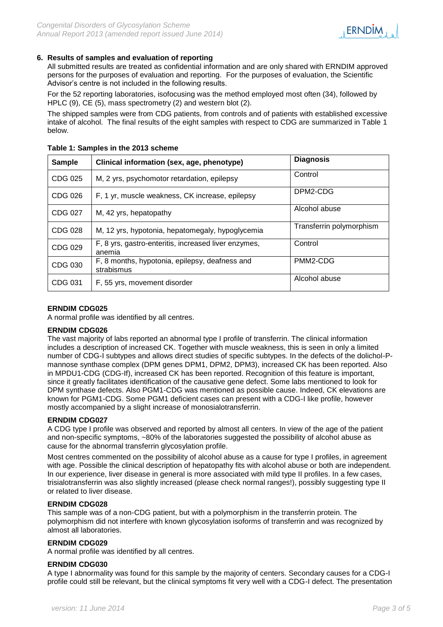

## **6. Results of samples and evaluation of reporting**

All submitted results are treated as confidential information and are only shared with ERNDIM approved persons for the purposes of evaluation and reporting. For the purposes of evaluation, the Scientific Advisor's centre is not included in the following results.

For the 52 reporting laboratories, isofocusing was the method employed most often (34), followed by HPLC (9), CE (5), mass spectrometry (2) and western blot (2).

The shipped samples were from CDG patients, from controls and of patients with established excessive intake of alcohol. The final results of the eight samples with respect to CDG are summarized in Table 1 below.

| <b>Sample</b>  | Clinical information (sex, age, phenotype)                     | <b>Diagnosis</b>         |
|----------------|----------------------------------------------------------------|--------------------------|
| CDG 025        | M, 2 yrs, psychomotor retardation, epilepsy                    | Control                  |
| CDG 026        | F, 1 yr, muscle weakness, CK increase, epilepsy                | DPM2-CDG                 |
| CDG 027        | M, 42 yrs, hepatopathy                                         | Alcohol abuse            |
| CDG 028        | M, 12 yrs, hypotonia, hepatomegaly, hypoglycemia               | Transferrin polymorphism |
| CDG 029        | F, 8 yrs, gastro-enteritis, increased liver enzymes,<br>anemia | Control                  |
| <b>CDG 030</b> | F, 8 months, hypotonia, epilepsy, deafness and<br>strabismus   | PMM2-CDG                 |
| CDG 031        | F, 55 yrs, movement disorder                                   | Alcohol abuse            |

**Table 1: Samples in the 2013 scheme**

## **ERNDIM CDG025**

A normal profile was identified by all centres.

### **ERNDIM CDG026**

The vast majority of labs reported an abnormal type I profile of transferrin. The clinical information includes a description of increased CK. Together with muscle weakness, this is seen in only a limited number of CDG-I subtypes and allows direct studies of specific subtypes. In the defects of the dolichol-Pmannose synthase complex (DPM genes DPM1, DPM2, DPM3), increased CK has been reported. Also in MPDU1-CDG (CDG-If), increased CK has been reported. Recognition of this feature is important, since it greatly facilitates identification of the causative gene defect. Some labs mentioned to look for DPM synthase defects. Also PGM1-CDG was mentioned as possible cause. Indeed, CK elevations are known for PGM1-CDG. Some PGM1 deficient cases can present with a CDG-I like profile, however mostly accompanied by a slight increase of monosialotransferrin.

## **ERNDIM CDG027**

A CDG type I profile was observed and reported by almost all centers. In view of the age of the patient and non-specific symptoms, ~80% of the laboratories suggested the possibility of alcohol abuse as cause for the abnormal transferrin glycosylation profile.

Most centres commented on the possibility of alcohol abuse as a cause for type I profiles, in agreement with age. Possible the clinical description of hepatopathy fits with alcohol abuse or both are independent. In our experience, liver disease in general is more associated with mild type II profiles. In a few cases, trisialotransferrin was also slightly increased (please check normal ranges!), possibly suggesting type II or related to liver disease.

### **ERNDIM CDG028**

This sample was of a non-CDG patient, but with a polymorphism in the transferrin protein. The polymorphism did not interfere with known glycosylation isoforms of transferrin and was recognized by almost all laboratories.

### **ERNDIM CDG029**

A normal profile was identified by all centres.

## **ERNDIM CDG030**

A type I abnormality was found for this sample by the majority of centers. Secondary causes for a CDG-I profile could still be relevant, but the clinical symptoms fit very well with a CDG-I defect. The presentation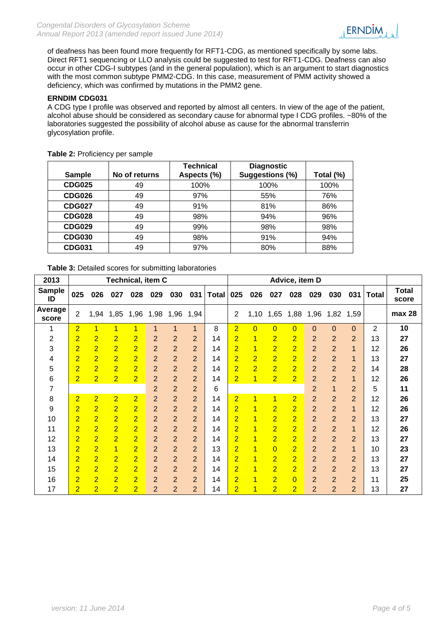of deafness has been found more frequently for RFT1-CDG, as mentioned specifically by some labs. Direct RFT1 sequencing or LLO analysis could be suggested to test for RFT1-CDG. Deafness can also occur in other CDG-I subtypes (and in the general population), which is an argument to start diagnostics with the most common subtype PMM2-CDG. In this case, measurement of PMM activity showed a deficiency, which was confirmed by mutations in the PMM2 gene.

## **ERNDIM CDG031**

A CDG type I profile was observed and reported by almost all centers. In view of the age of the patient, alcohol abuse should be considered as secondary cause for abnormal type I CDG profiles. ~80% of the laboratories suggested the possibility of alcohol abuse as cause for the abnormal transferrin glycosylation profile.

| <b>Sample</b> | No of returns | <b>Technical</b><br>Aspects (%) | <b>Diagnostic</b><br>Suggestions (%) | Total (%) |
|---------------|---------------|---------------------------------|--------------------------------------|-----------|
| <b>CDG025</b> | 49            | 100%                            | 100%                                 | 100%      |
| <b>CDG026</b> | 49            | 97%                             | 55%                                  | 76%       |
| <b>CDG027</b> | 49            | 91%                             | 81%                                  | 86%       |
| <b>CDG028</b> | 49            | 98%                             | 94%                                  | 96%       |
| <b>CDG029</b> | 49            | 99%                             | 98%                                  | 98%       |
| <b>CDG030</b> | 49            | 98%                             | 91%                                  | 94%       |
| <b>CDG031</b> | 49            | 97%                             | 80%                                  | 88%       |

**Table 2:** Proficiency per sample

**Table 3:** Detailed scores for submitting laboratories

| 2013                | <b>Technical, item C</b> |                |                |                |                |                |                |              |                | Advice, item D |                |                |                |                |                |                |                       |  |
|---------------------|--------------------------|----------------|----------------|----------------|----------------|----------------|----------------|--------------|----------------|----------------|----------------|----------------|----------------|----------------|----------------|----------------|-----------------------|--|
| <b>Sample</b><br>ID | 025                      | 026            | 027            | 028            | 029            | 030            | 031            | <b>Total</b> | 025            | 026            | 027            | 028            | 029            | 030            | 031            | <b>Total</b>   | <b>Total</b><br>score |  |
| Average<br>score    | $\overline{2}$           | 1,94           | 1,85           | 1,96           | 1,98           | 1,96           | 1,94           |              | $\overline{2}$ | 1,10           | 1,65           | 1,88           | 1,96           | 1,82           | 1,59           |                | max 28                |  |
| 1                   | 2                        | $\mathbf{1}$   | $\overline{1}$ | 1              | 1              | 1              | 1              | 8            | $\overline{2}$ | $\overline{0}$ | $\overline{0}$ | $\overline{0}$ | 0              | 0              | $\mathbf 0$    | $\overline{2}$ | 10                    |  |
| 2                   | $\overline{2}$           | $\overline{2}$ | $\overline{2}$ | $\overline{2}$ | 2              | $\overline{2}$ | 2              | 14           | 2              | 1              | $\overline{2}$ | $\overline{2}$ | 2              | $\overline{2}$ | $\overline{2}$ | 13             | 27                    |  |
| 3                   | $\overline{2}$           | $\overline{2}$ | $\overline{2}$ | $\overline{2}$ | $\overline{2}$ | $\overline{2}$ | $\overline{2}$ | 14           | $\overline{2}$ | 1              | $\overline{2}$ | $\overline{2}$ | $\overline{2}$ | $\overline{2}$ | 1              | 12             | 26                    |  |
| 4                   | $\overline{2}$           | $\overline{2}$ | $\overline{2}$ | 2              | $\overline{2}$ | $\overline{2}$ | $\overline{2}$ | 14           | $\overline{2}$ | $\overline{2}$ | $\overline{2}$ | $\overline{2}$ | $\overline{2}$ | $\overline{2}$ | 1              | 13             | 27                    |  |
| 5                   | $\overline{2}$           | $\overline{2}$ | $\overline{2}$ | $\overline{2}$ | $\overline{2}$ | $\overline{2}$ | 2              | 14           | $\overline{2}$ | $\overline{2}$ | $\overline{2}$ | $\overline{2}$ | $\overline{2}$ | $\overline{2}$ | $\overline{2}$ | 14             | 28                    |  |
| 6                   | $\overline{2}$           | $\overline{2}$ | $\overline{2}$ | 2              | $\overline{2}$ | $\overline{2}$ | $\overline{2}$ | 14           | $\overline{2}$ | 1              | $\overline{2}$ | $\overline{2}$ | $\overline{2}$ | $\overline{2}$ | 1              | 12             | 26                    |  |
| 7                   |                          |                |                |                | $\overline{2}$ | $\overline{2}$ | $\overline{2}$ | 6            |                |                |                |                | $\overline{2}$ | 1              | $\overline{2}$ | 5              | 11                    |  |
| 8                   | $\overline{2}$           | $\overline{2}$ | $\overline{2}$ | $\overline{2}$ | $\overline{2}$ | $\overline{2}$ | $\overline{2}$ | 14           | $\overline{2}$ | 1              | 1              | $\overline{2}$ | $\overline{2}$ | $\overline{2}$ | $\overline{2}$ | 12             | 26                    |  |
| 9                   | $\overline{2}$           | $\overline{2}$ | $\overline{2}$ | $\overline{2}$ | $\overline{2}$ | $\overline{2}$ | $\overline{2}$ | 14           | $\overline{2}$ | 1              | $\overline{2}$ | $\overline{2}$ | $\overline{2}$ | $\overline{2}$ | 1              | 12             | 26                    |  |
| 10                  | $\overline{2}$           | $\overline{2}$ | $\overline{2}$ | $\overline{2}$ | $\overline{2}$ | $\overline{2}$ | $\overline{2}$ | 14           | $\overline{2}$ | 1              | $\overline{2}$ | $\overline{2}$ | $\overline{2}$ | $\overline{2}$ | $\overline{2}$ | 13             | 27                    |  |
| 11                  | $\overline{2}$           | $\overline{2}$ | $\overline{2}$ | $\overline{2}$ | $\overline{2}$ | $\overline{2}$ | $\overline{2}$ | 14           | $\overline{2}$ | 1              | $\overline{2}$ | $\overline{2}$ | $\overline{2}$ | $\overline{2}$ | $\mathbf{1}$   | 12             | 26                    |  |
| 12                  | $\overline{2}$           | $\overline{2}$ | $\overline{2}$ | $\overline{2}$ | $\overline{2}$ | $\overline{2}$ | $\overline{2}$ | 14           | $\overline{2}$ | 1              | $\overline{2}$ | $\overline{2}$ | $\overline{2}$ | $\overline{2}$ | $\overline{2}$ | 13             | 27                    |  |
| 13                  | $\overline{2}$           | $\overline{2}$ | $\mathbf{1}$   | $\overline{2}$ | $\overline{2}$ | $\overline{2}$ | $\overline{2}$ | 13           | $\overline{2}$ | 1              | $\overline{0}$ | $\overline{2}$ | $\overline{2}$ | $\overline{2}$ | $\mathbf{1}$   | 10             | 23                    |  |
| 14                  | $\overline{2}$           | $\overline{2}$ | $\overline{2}$ | $\overline{2}$ | $\overline{2}$ | $\overline{2}$ | $\overline{2}$ | 14           | 2              | 1              | $\overline{2}$ | $\overline{2}$ | $\overline{2}$ | $\overline{2}$ | $\overline{2}$ | 13             | 27                    |  |
| 15                  | $\overline{2}$           | $\overline{2}$ | $\overline{2}$ | $\overline{2}$ | $\overline{2}$ | $\overline{2}$ | $\overline{2}$ | 14           | $\overline{2}$ | 1              | $\overline{2}$ | $\overline{2}$ | $\overline{2}$ | $\overline{2}$ | $\overline{2}$ | 13             | 27                    |  |
| 16                  | $\overline{2}$           | $\overline{2}$ | $\overline{2}$ | $\overline{2}$ | $\overline{2}$ | $\overline{2}$ | $\overline{2}$ | 14           | $\overline{2}$ | 1              | $\overline{2}$ | $\overline{0}$ | $\overline{2}$ | $\overline{2}$ | $\overline{2}$ | 11             | 25                    |  |
| 17                  | $\overline{2}$           | $\overline{2}$ | $\overline{2}$ | $\overline{2}$ | $\overline{2}$ | $\overline{2}$ | $\overline{2}$ | 14           | $\overline{2}$ | 1              | $\overline{2}$ | $\overline{2}$ | $\overline{2}$ | $\overline{2}$ | $\overline{2}$ | 13             | 27                    |  |